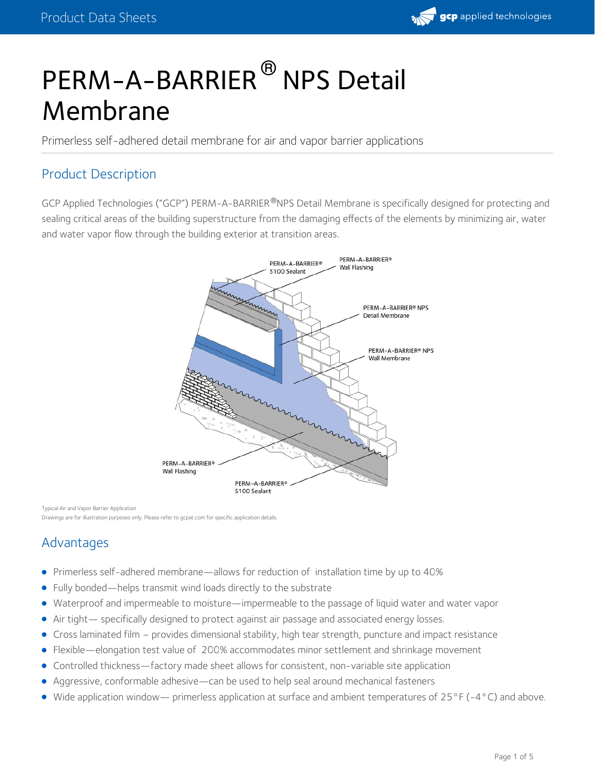

# PERM-A-BARRIER<sup>®</sup> NPS Detail Membrane

Primerless self-adhered detail membrane for air and vapor barrier applications

## Product Description

GCP Applied Technologies ("GCP") PERM-A-BARRIER®NPS Detail Membrane is specifically designed for protecting and sealing critical areas of the building superstructure from the damaging effects of the elements by minimizing air, water and water vapor flow through the building exterior at transition areas.



Typical Air and Vapor Barrier Application

Drawings are for illustration purposes only. Please refer to gcpat.com for specific application details.

# Advantages

- Primerless self-adhered membrane—allows for reduction of installation time by up to 40%
- Fully bonded—helps transmit wind loads directly to the substrate
- Waterproof and impermeable to moisture—impermeable to the passage of liquid water and water vapor  $\bullet$
- Air tight— specifically designed to protect against air passage and associated energy losses.
- Cross laminated film provides dimensional stability, high tear strength, puncture and impact resistance  $\bullet$
- Flexible—elongation test value of 200% accommodates minor settlement and shrinkage movement
- Controlled thickness—factory made sheet allows for consistent, non-variable site application
- Aggressive, conformable adhesive—can be used to help seal around mechanical fasteners
- Wide application window— primerless application at surface and ambient temperatures of 25°F (-4°C) and above.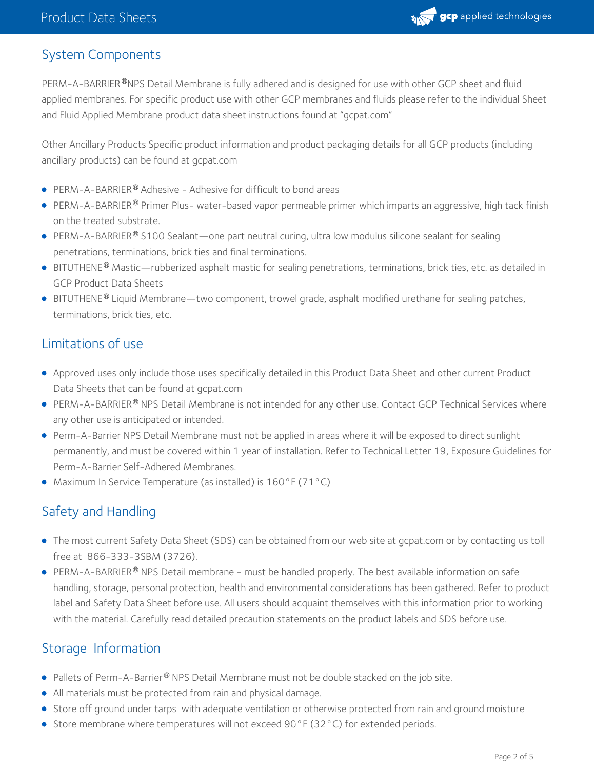

## System Components

PERM-A-BARRIER®NPS Detail Membrane is fully adhered and is designed for use with other GCP sheet and fluid applied membranes. For specific product use with other GCP membranes and fluids please refer to the individual Sheet and Fluid Applied Membrane product data sheet instructions found at "gcpat.com"

Other Ancillary Products Specific product information and product packaging details for all GCP products (including ancillary products) can be found at gcpat.com

- $\bullet$  PERM-A-BARRIER® Adhesive Adhesive for difficult to bond areas
- PERM-A-BARRIER® Primer Plus- water-based vapor permeable primer which imparts an aggressive, high tack finish on the treated substrate.
- $\sf PERM-A-BARRIER^@S100\; Sealant—one part neutral curing, ultra low modulus silicone sealant for scaling$ penetrations, terminations, brick ties and final terminations.
- BITUTHENE® Mastic—rubberized asphalt mastic for sealing penetrations, terminations, brick ties, etc. as detailed in GCP Product Data Sheets
- BITUTHENE® Liquid Membrane—two component, trowel grade, asphalt modified urethane for sealing patches,  $\,$ terminations, brick ties, etc.

## Limitations of use

- Approved uses only include those uses specifically detailed in this Product Data Sheet and other current Product Data Sheets that can be found at gcpat.com
- PERM-A-BARRIER® NPS Detail Membrane is not intended for any other use. Contact GCP Technical Services where any other use is anticipated or intended.
- Perm-A-Barrier NPS Detail Membrane must not be applied in areas where it will be exposed to direct sunlight permanently, and must be covered within 1 year of installation. Refer to Technical Letter 19, Exposure Guidelines for Perm-A-Barrier Self-Adhered Membranes.
- Maximum In Service Temperature (as installed) is 160°F (71°C)

# Safety and Handling

- The most current Safety Data Sheet (SDS) can be obtained from our web site at gcpat.com or by contacting us toll free at 866-333-3SBM (3726).
- PERM-A-BARRIER® NPS Detail membrane must be handled properly. The best available information on safe handling, storage, personal protection, health and environmental considerations has been gathered. Refer to product label and Safety Data Sheet before use. All users should acquaint themselves with this information prior to working with the material. Carefully read detailed precaution statements on the product labels and SDS before use.

## Storage Information

- Pallets of Perm-A-Barrier<sup>®</sup> NPS Detail Membrane must not be double stacked on the job site.
- All materials must be protected from rain and physical damage.
- Store off ground under tarps with adequate ventilation or otherwise protected from rain and ground moisture
- Store membrane where temperatures will not exceed 90°F (32°C) for extended periods.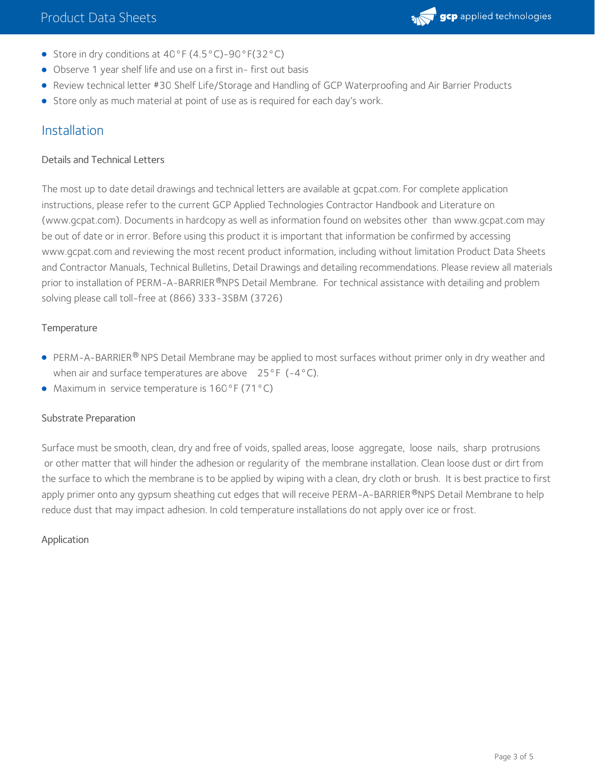- Store in dry conditions at 40°F (4.5°C)-90°F(32°C)
- Observe 1 year shelf life and use on a first in- first out basis
- Review technical letter #30 Shelf Life/Storage and Handling of GCP Waterproofing and Air Barrier Products
- **Store only as much material at point of use as is required for each day's work.**

# Installation

## Details and Technical Letters

The most up to date detail drawings and technical letters are available at gcpat.com. For complete application instructions, please refer to the current GCP Applied Technologies Contractor Handbook and Literature on (www.gcpat.com). Documents in hardcopy as well as information found on websites other than www.gcpat.com may be out of date or in error. Before using this product it is important that information be confirmed by accessing www.gcpat.com and reviewing the most recent product information, including without limitation Product Data Sheets and Contractor Manuals, Technical Bulletins, Detail Drawings and detailing recommendations. Please review all materials prior to installation of PERM-A-BARRIER®NPS Detail Membrane. For technical assistance with detailing and problem solving please call toll-free at (866) 333-3SBM (3726)

#### **Temperature**

- PERM-A-BARRIER® NPS Detail Membrane may be applied to most surfaces without primer only in dry weather and when air and surface temperatures are above  $25^{\circ}F$  (-4°C).
- Maximum in service temperature is 160°F (71°C)

#### Substrate Preparation

Surface must be smooth, clean, dry and free of voids, spalled areas, loose aggregate, loose nails, sharp protrusions or other matter that will hinder the adhesion or regularity of the membrane installation. Clean loose dust or dirt from the surface to which the membrane is to be applied by wiping with a clean, dry cloth or brush. It is best practice to first apply primer onto any gypsum sheathing cut edges that will receive PERM-A-BARRIER®NPS Detail Membrane to help reduce dust that may impact adhesion. In cold temperature installations do not apply over ice or frost.

#### Application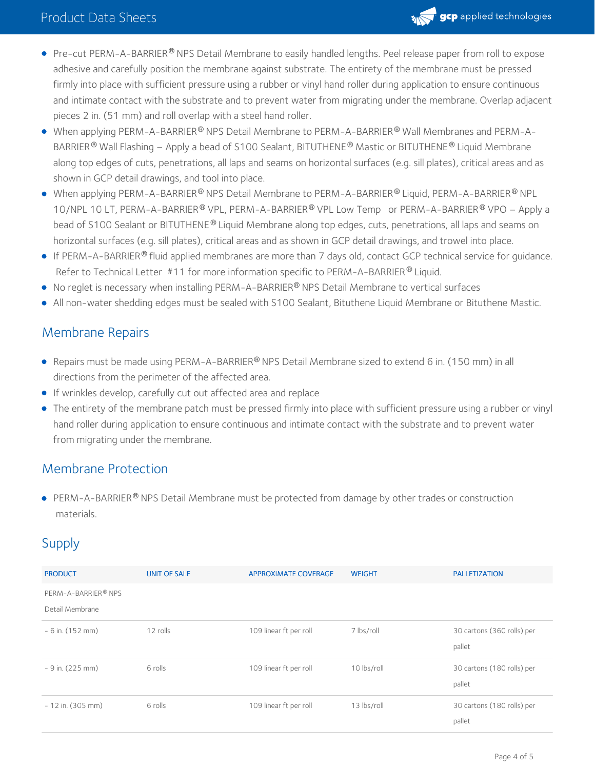

- Pre-cut PERM-A-BARRIER® NPS Detail Membrane to easily handled lengths. Peel release paper from roll to expose adhesive and carefully position the membrane against substrate. The entirety of the membrane must be pressed firmly into place with sufficient pressure using a rubber or vinyl hand roller during application to ensure continuous and intimate contact with the substrate and to prevent water from migrating under the membrane. Overlap adjacent pieces 2 in. (51 mm) and roll overlap with a steel hand roller.
- When applying PERM-A-BARRIER® NPS Detail Membrane to PERM-A-BARRIER® Wall Membranes and PERM-A-  $\,$ BARRIER® Wall Flashing — Apply a bead of S100 Sealant, BITUTHENE® Mastic or BITUTHENE® Liquid Membrane along top edges of cuts, penetrations, all laps and seams on horizontal surfaces (e.g. sill plates), critical areas and as shown in GCP detail drawings, and tool into place.
- When applying PERM-A-BARRIER® NPS Detail Membrane to PERM-A-BARRIER® Liquid, PERM-A-BARRIER® NPL 10/NPL 10 LT, PERM-A-BARRIER® VPL, PERM-A-BARRIER® VPL Low Temp or PERM-A-BARRIER® VPO – Apply a bead of S100 Sealant or BITUTHENE® Liquid Membrane along top edges, cuts, penetrations, all laps and seams on horizontal surfaces (e.g. sill plates), critical areas and as shown in GCP detail drawings, and trowel into place.
- If PERM-A-BARRIER® fluid applied membranes are more than 7 days old, contact GCP technical service for guidance. Refer to Technical Letter #11 for more information specific to PERM-A-BARRIER® Liquid.
- No reglet is necessary when installing PERM-A-BARRIER® NPS Detail Membrane to vertical surfaces
- All non-water shedding edges must be sealed with S100 Sealant, Bituthene Liquid Membrane or Bituthene Mastic.

## Membrane Repairs

- Repairs must be made using PERM-A-BARRIER® NPS Detail Membrane sized to extend 6 in. (150 mm) in all directions from the perimeter of the affected area.
- If wrinkles develop, carefully cut out affected area and replace
- The entirety of the membrane patch must be pressed firmly into place with sufficient pressure using a rubber or vinyl hand roller during application to ensure continuous and intimate contact with the substrate and to prevent water from migrating under the membrane.

## Membrane Protection

 $\sf PERM-A-BARRIER^@NPS$  Detail Membrane must be protected from damage by other trades or construction materials.

# Supply

| <b>PRODUCT</b>      | <b>UNIT OF SALE</b> | <b>APPROXIMATE COVERAGE</b> | <b>WEIGHT</b> | <b>PALLETIZATION</b>                 |
|---------------------|---------------------|-----------------------------|---------------|--------------------------------------|
| PERM-A-BARRIER® NPS |                     |                             |               |                                      |
| Detail Membrane     |                     |                             |               |                                      |
| $-6$ in. (152 mm)   | 12 rolls            | 109 linear ft per roll      | 7 lbs/roll    | 30 cartons (360 rolls) per<br>pallet |
| $-9$ in. (225 mm)   | 6 rolls             | 109 linear ft per roll      | 10 lbs/roll   | 30 cartons (180 rolls) per<br>pallet |
| $-12$ in. (305 mm)  | 6 rolls             | 109 linear ft per roll      | 13 lbs/roll   | 30 cartons (180 rolls) per<br>pallet |